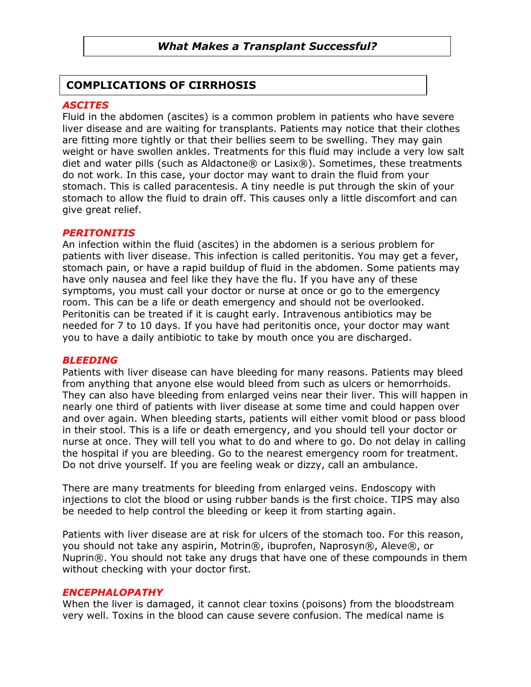# What Makes a Transplant Successful?

# COMPLICATIONS OF CIRRHOSIS

# **ASCITES**

Fluid in the abdomen (ascites) is a common problem in patients who have severe liver disease and are waiting for transplants. Patients may notice that their clothes are fitting more tightly or that their bellies seem to be swelling. They may gain weight or have swollen ankles. Treatments for this fluid may include a very low salt diet and water pills (such as Aldactone® or Lasix®). Sometimes, these treatments do not work. In this case, your doctor may want to drain the fluid from your stomach. This is called paracentesis. A tiny needle is put through the skin of your stomach to allow the fluid to drain off. This causes only a little discomfort and can give great relief.

#### **PERITONITIS**

An infection within the fluid (ascites) in the abdomen is a serious problem for patients with liver disease. This infection is called peritonitis. You may get a fever, stomach pain, or have a rapid buildup of fluid in the abdomen. Some patients may have only nausea and feel like they have the flu. If you have any of these symptoms, you must call your doctor or nurse at once or go to the emergency room. This can be a life or death emergency and should not be overlooked. Peritonitis can be treated if it is caught early. Intravenous antibiotics may be needed for 7 to 10 days. If you have had peritonitis once, your doctor may want you to have a daily antibiotic to take by mouth once you are discharged.

#### **BLEEDING**

Patients with liver disease can have bleeding for many reasons. Patients may bleed from anything that anyone else would bleed from such as ulcers or hemorrhoids. They can also have bleeding from enlarged veins near their liver. This will happen in nearly one third of patients with liver disease at some time and could happen over and over again. When bleeding starts, patients will either vomit blood or pass blood in their stool. This is a life or death emergency, and you should tell your doctor or nurse at once. They will tell you what to do and where to go. Do not delay in calling the hospital if you are bleeding. Go to the nearest emergency room for treatment. Do not drive yourself. If you are feeling weak or dizzy, call an ambulance.

There are many treatments for bleeding from enlarged veins. Endoscopy with injections to clot the blood or using rubber bands is the first choice. TIPS may also be needed to help control the bleeding or keep it from starting again.

Patients with liver disease are at risk for ulcers of the stomach too. For this reason, you should not take any aspirin, Motrin®, ibuprofen, Naprosyn®, Aleve®, or Nuprin®. You should not take any drugs that have one of these compounds in them without checking with your doctor first.

#### ENCEPHALOPATHY

When the liver is damaged, it cannot clear toxins (poisons) from the bloodstream very well. Toxins in the blood can cause severe confusion. The medical name is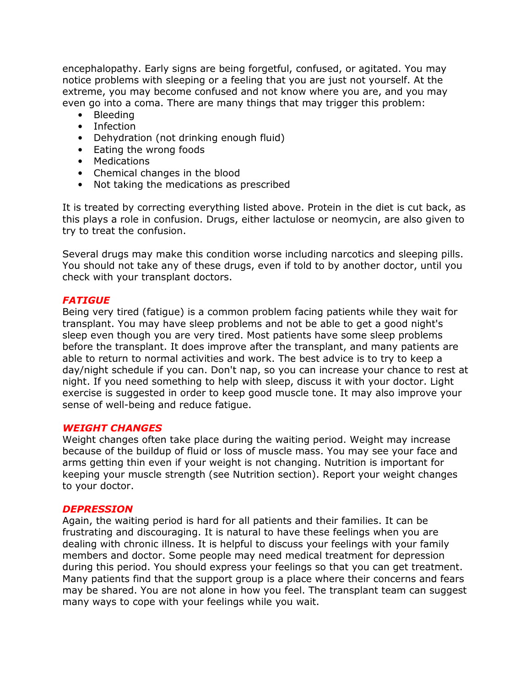encephalopathy. Early signs are being forgetful, confused, or agitated. You may notice problems with sleeping or a feeling that you are just not yourself. At the extreme, you may become confused and not know where you are, and you may even go into a coma. There are many things that may trigger this problem:

- Bleeding
- Infection
- Dehydration (not drinking enough fluid)
- Eating the wrong foods
- Medications
- Chemical changes in the blood
- Not taking the medications as prescribed

It is treated by correcting everything listed above. Protein in the diet is cut back, as this plays a role in confusion. Drugs, either lactulose or neomycin, are also given to try to treat the confusion.

Several drugs may make this condition worse including narcotics and sleeping pills. You should not take any of these drugs, even if told to by another doctor, until you check with your transplant doctors.

### **FATIGUE**

Being very tired (fatigue) is a common problem facing patients while they wait for transplant. You may have sleep problems and not be able to get a good night's sleep even though you are very tired. Most patients have some sleep problems before the transplant. It does improve after the transplant, and many patients are able to return to normal activities and work. The best advice is to try to keep a day/night schedule if you can. Don't nap, so you can increase your chance to rest at night. If you need something to help with sleep, discuss it with your doctor. Light exercise is suggested in order to keep good muscle tone. It may also improve your sense of well-being and reduce fatigue.

#### WEIGHT CHANGES

Weight changes often take place during the waiting period. Weight may increase because of the buildup of fluid or loss of muscle mass. You may see your face and arms getting thin even if your weight is not changing. Nutrition is important for keeping your muscle strength (see Nutrition section). Report your weight changes to your doctor.

#### **DEPRESSION**

Again, the waiting period is hard for all patients and their families. It can be frustrating and discouraging. It is natural to have these feelings when you are dealing with chronic illness. It is helpful to discuss your feelings with your family members and doctor. Some people may need medical treatment for depression during this period. You should express your feelings so that you can get treatment. Many patients find that the support group is a place where their concerns and fears may be shared. You are not alone in how you feel. The transplant team can suggest many ways to cope with your feelings while you wait.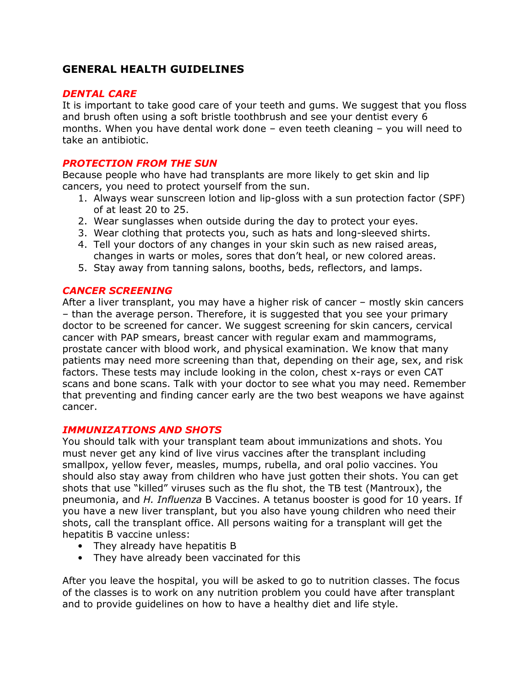# GENERAL HEALTH GUIDELINES

# DENTAL CARE

It is important to take good care of your teeth and gums. We suggest that you floss and brush often using a soft bristle toothbrush and see your dentist every 6 months. When you have dental work done – even teeth cleaning – you will need to take an antibiotic.

# PROTECTION FROM THE SUN

Because people who have had transplants are more likely to get skin and lip cancers, you need to protect yourself from the sun.

- 1. Always wear sunscreen lotion and lip-gloss with a sun protection factor (SPF) of at least 20 to 25.
- 2. Wear sunglasses when outside during the day to protect your eyes.
- 3. Wear clothing that protects you, such as hats and long-sleeved shirts.
- 4. Tell your doctors of any changes in your skin such as new raised areas, changes in warts or moles, sores that don't heal, or new colored areas.
- 5. Stay away from tanning salons, booths, beds, reflectors, and lamps.

### CANCER SCREENING

After a liver transplant, you may have a higher risk of cancer – mostly skin cancers – than the average person. Therefore, it is suggested that you see your primary doctor to be screened for cancer. We suggest screening for skin cancers, cervical cancer with PAP smears, breast cancer with regular exam and mammograms, prostate cancer with blood work, and physical examination. We know that many patients may need more screening than that, depending on their age, sex, and risk factors. These tests may include looking in the colon, chest x-rays or even CAT scans and bone scans. Talk with your doctor to see what you may need. Remember that preventing and finding cancer early are the two best weapons we have against cancer.

### IMMUNIZATIONS AND SHOTS

You should talk with your transplant team about immunizations and shots. You must never get any kind of live virus vaccines after the transplant including smallpox, yellow fever, measles, mumps, rubella, and oral polio vaccines. You should also stay away from children who have just gotten their shots. You can get shots that use "killed" viruses such as the flu shot, the TB test (Mantroux), the pneumonia, and H. Influenza B Vaccines. A tetanus booster is good for 10 years. If you have a new liver transplant, but you also have young children who need their shots, call the transplant office. All persons waiting for a transplant will get the hepatitis B vaccine unless:

- They already have hepatitis B
- They have already been vaccinated for this

After you leave the hospital, you will be asked to go to nutrition classes. The focus of the classes is to work on any nutrition problem you could have after transplant and to provide guidelines on how to have a healthy diet and life style.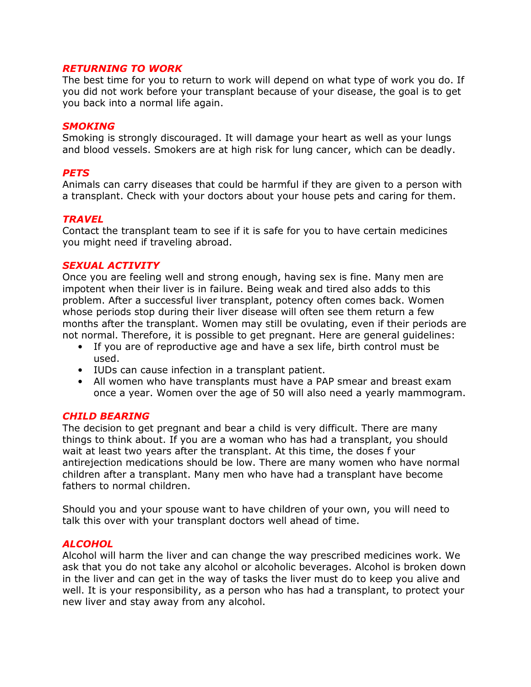# RETURNING TO WORK

The best time for you to return to work will depend on what type of work you do. If you did not work before your transplant because of your disease, the goal is to get you back into a normal life again.

#### **SMOKING**

Smoking is strongly discouraged. It will damage your heart as well as your lungs and blood vessels. Smokers are at high risk for lung cancer, which can be deadly.

### **PETS**

Animals can carry diseases that could be harmful if they are given to a person with a transplant. Check with your doctors about your house pets and caring for them.

#### **TRAVEL**

Contact the transplant team to see if it is safe for you to have certain medicines you might need if traveling abroad.

#### SEXUAL ACTIVITY

Once you are feeling well and strong enough, having sex is fine. Many men are impotent when their liver is in failure. Being weak and tired also adds to this problem. After a successful liver transplant, potency often comes back. Women whose periods stop during their liver disease will often see them return a few months after the transplant. Women may still be ovulating, even if their periods are not normal. Therefore, it is possible to get pregnant. Here are general guidelines:

- If you are of reproductive age and have a sex life, birth control must be used.
- IUDs can cause infection in a transplant patient.
- All women who have transplants must have a PAP smear and breast exam once a year. Women over the age of 50 will also need a yearly mammogram.

### CHILD BEARING

The decision to get pregnant and bear a child is very difficult. There are many things to think about. If you are a woman who has had a transplant, you should wait at least two years after the transplant. At this time, the doses f your antirejection medications should be low. There are many women who have normal children after a transplant. Many men who have had a transplant have become fathers to normal children.

Should you and your spouse want to have children of your own, you will need to talk this over with your transplant doctors well ahead of time.

### **ALCOHOL**

Alcohol will harm the liver and can change the way prescribed medicines work. We ask that you do not take any alcohol or alcoholic beverages. Alcohol is broken down in the liver and can get in the way of tasks the liver must do to keep you alive and well. It is your responsibility, as a person who has had a transplant, to protect your new liver and stay away from any alcohol.